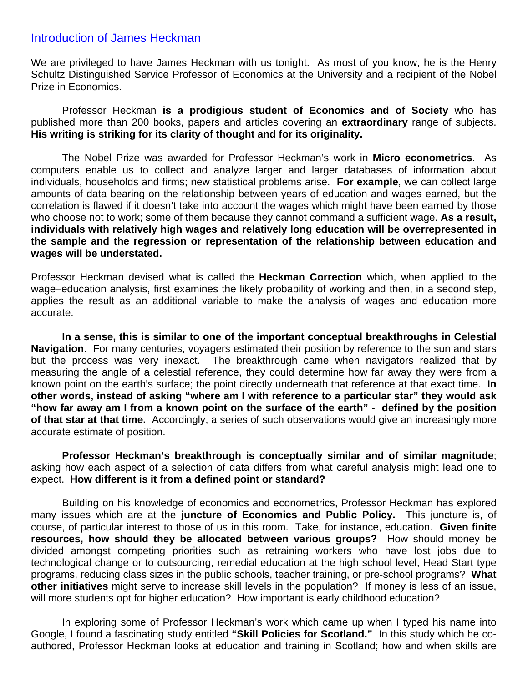## Introduction of James Heckman

We are privileged to have James Heckman with us tonight. As most of you know, he is the Henry Schultz Distinguished Service Professor of Economics at the University and a recipient of the Nobel Prize in Economics.

 Professor Heckman **is a prodigious student of Economics and of Society** who has published more than 200 books, papers and articles covering an **extraordinary** range of subjects. **His writing is striking for its clarity of thought and for its originality.** 

 The Nobel Prize was awarded for Professor Heckman's work in **Micro econometrics**. As computers enable us to collect and analyze larger and larger databases of information about individuals, households and firms; new statistical problems arise. **For example**, we can collect large amounts of data bearing on the relationship between years of education and wages earned, but the correlation is flawed if it doesn't take into account the wages which might have been earned by those who choose not to work; some of them because they cannot command a sufficient wage. **As a result, individuals with relatively high wages and relatively long education will be overrepresented in the sample and the regression or representation of the relationship between education and wages will be understated.** 

Professor Heckman devised what is called the **Heckman Correction** which, when applied to the wage–education analysis, first examines the likely probability of working and then, in a second step, applies the result as an additional variable to make the analysis of wages and education more accurate.

**In a sense, this is similar to one of the important conceptual breakthroughs in Celestial Navigation**. For many centuries, voyagers estimated their position by reference to the sun and stars but the process was very inexact. The breakthrough came when navigators realized that by measuring the angle of a celestial reference, they could determine how far away they were from a known point on the earth's surface; the point directly underneath that reference at that exact time. **In other words, instead of asking "where am I with reference to a particular star" they would ask "how far away am I from a known point on the surface of the earth" - defined by the position of that star at that time.** Accordingly, a series of such observations would give an increasingly more accurate estimate of position.

**Professor Heckman's breakthrough is conceptually similar and of similar magnitude**; asking how each aspect of a selection of data differs from what careful analysis might lead one to expect. **How different is it from a defined point or standard?** 

Building on his knowledge of economics and econometrics, Professor Heckman has explored many issues which are at the **juncture of Economics and Public Policy.** This juncture is, of course, of particular interest to those of us in this room. Take, for instance, education. **Given finite resources, how should they be allocated between various groups?** How should money be divided amongst competing priorities such as retraining workers who have lost jobs due to technological change or to outsourcing, remedial education at the high school level, Head Start type programs, reducing class sizes in the public schools, teacher training, or pre-school programs? **What other initiatives** might serve to increase skill levels in the population? If money is less of an issue, will more students opt for higher education? How important is early childhood education?

In exploring some of Professor Heckman's work which came up when I typed his name into Google, I found a fascinating study entitled **"Skill Policies for Scotland."** In this study which he coauthored, Professor Heckman looks at education and training in Scotland; how and when skills are